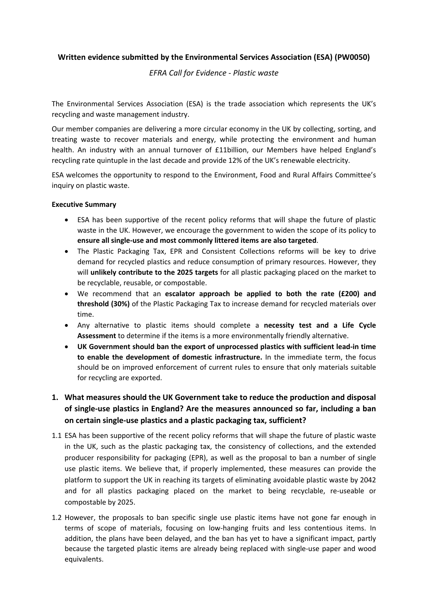## **Written evidence submitted by the Environmental Services Association (ESA) (PW0050)**

### *EFRA Call for Evidence - Plastic waste*

The Environmental Services Association (ESA) is the trade association which represents the UK's recycling and waste management industry.

Our member companies are delivering a more circular economy in the UK by collecting, sorting, and treating waste to recover materials and energy, while protecting the environment and human health. An industry with an annual turnover of £11billion, our Members have helped England's recycling rate quintuple in the last decade and provide 12% of the UK's renewable electricity.

ESA welcomes the opportunity to respond to the Environment, Food and Rural Affairs Committee's inquiry on plastic waste.

#### **Executive Summary**

- ESA has been supportive of the recent policy reforms that will shape the future of plastic waste in the UK. However, we encourage the government to widen the scope of its policy to **ensure all single-use and most commonly littered items are also targeted**.
- The Plastic Packaging Tax, EPR and Consistent Collections reforms will be key to drive demand for recycled plastics and reduce consumption of primary resources. However, they will **unlikely contribute to the 2025 targets** for all plastic packaging placed on the market to be recyclable, reusable, or compostable.
- We recommend that an **escalator approach be applied to both the rate (£200) and threshold (30%)** of the Plastic Packaging Tax to increase demand for recycled materials over time.
- Any alternative to plastic items should complete a **necessity test and a Life Cycle Assessment** to determine if the items is a more environmentally friendly alternative.
- **UK Government should ban the export of unprocessed plastics with sufficient lead-in time to enable the development of domestic infrastructure.** In the immediate term, the focus should be on improved enforcement of current rules to ensure that only materials suitable for recycling are exported.

# **1. What measures should the UK Government take to reduce the production and disposal of single-use plastics in England? Are the measures announced so far, including a ban on certain single-use plastics and a plastic packaging tax, sufficient?**

- 1.1 ESA has been supportive of the recent policy reforms that will shape the future of plastic waste in the UK, such as the plastic packaging tax, the consistency of collections, and the extended producer responsibility for packaging (EPR), as well as the proposal to ban a number of single use plastic items. We believe that, if properly implemented, these measures can provide the platform to support the UK in reaching its targets of eliminating avoidable plastic waste by 2042 and for all plastics packaging placed on the market to being recyclable, re-useable or compostable by 2025.
- 1.2 However, the proposals to ban specific single use plastic items have not gone far enough in terms of scope of materials, focusing on low-hanging fruits and less contentious items. In addition, the plans have been delayed, and the ban has yet to have a significant impact, partly because the targeted plastic items are already being replaced with single-use paper and wood equivalents.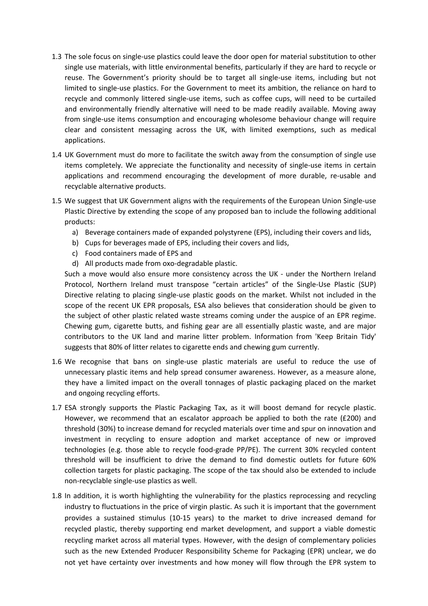- 1.3 The sole focus on single-use plastics could leave the door open for material substitution to other single use materials, with little environmental benefits, particularly if they are hard to recycle or reuse. The Government's priority should be to target all single-use items, including but not limited to single-use plastics. For the Government to meet its ambition, the reliance on hard to recycle and commonly littered single-use items, such as coffee cups, will need to be curtailed and environmentally friendly alternative will need to be made readily available. Moving away from single-use items consumption and encouraging wholesome behaviour change will require clear and consistent messaging across the UK, with limited exemptions, such as medical applications.
- 1.4 UK Government must do more to facilitate the switch away from the consumption of single use items completely. We appreciate the functionality and necessity of single-use items in certain applications and recommend encouraging the development of more durable, re-usable and recyclable alternative products.
- 1.5 We suggest that UK Government aligns with the requirements of the European Union Single-use Plastic Directive by extending the scope of any proposed ban to include the following additional products:
	- a) Beverage containers made of expanded polystyrene (EPS), including their covers and lids,
	- b) Cups for beverages made of EPS, including their covers and lids,
	- c) Food containers made of EPS and
	- d) All products made from oxo-degradable plastic.

Such a move would also ensure more consistency across the UK - under the Northern Ireland Protocol, Northern Ireland must transpose "certain articles" of the Single-Use Plastic (SUP) Directive relating to placing single-use plastic goods on the market. Whilst not included in the scope of the recent UK EPR proposals, ESA also believes that consideration should be given to the subject of other plastic related waste streams coming under the auspice of an EPR regime. Chewing gum, cigarette butts, and fishing gear are all essentially plastic waste, and are major contributors to the UK land and marine litter problem. Information from 'Keep Britain Tidy' suggests that 80% of litter relates to cigarette ends and chewing gum currently.

- 1.6 We recognise that bans on single-use plastic materials are useful to reduce the use of unnecessary plastic items and help spread consumer awareness. However, as a measure alone, they have a limited impact on the overall tonnages of plastic packaging placed on the market and ongoing recycling efforts.
- 1.7 ESA strongly supports the Plastic Packaging Tax, as it will boost demand for recycle plastic. However, we recommend that an escalator approach be applied to both the rate (£200) and threshold (30%) to increase demand for recycled materials over time and spur on innovation and investment in recycling to ensure adoption and market acceptance of new or improved technologies (e.g. those able to recycle food-grade PP/PE). The current 30% recycled content threshold will be insufficient to drive the demand to find domestic outlets for future 60% collection targets for plastic packaging. The scope of the tax should also be extended to include non-recyclable single-use plastics as well.
- 1.8 In addition, it is worth highlighting the vulnerability for the plastics reprocessing and recycling industry to fluctuations in the price of virgin plastic. As such it is important that the government provides a sustained stimulus (10-15 years) to the market to drive increased demand for recycled plastic, thereby supporting end market development, and support a viable domestic recycling market across all material types. However, with the design of complementary policies such as the new Extended Producer Responsibility Scheme for Packaging (EPR) unclear, we do not yet have certainty over investments and how money will flow through the EPR system to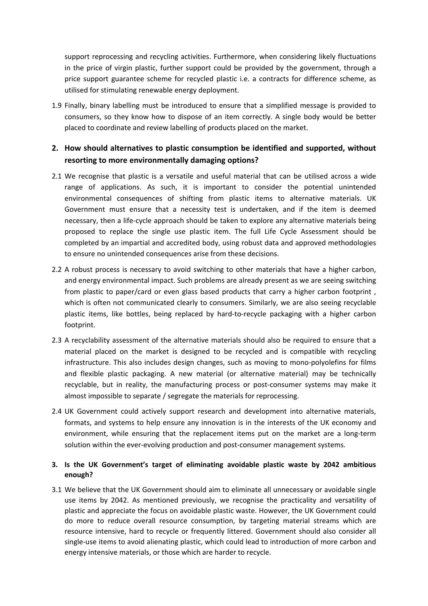support reprocessing and recycling activities. Furthermore, when considering likely fluctuations in the price of virgin plastic, further support could be provided by the government, through a price support guarantee scheme for recycled plastic i.e. a contracts for difference scheme, as utilised for stimulating renewable energy deployment.

1.9 Finally, binary labelling must be introduced to ensure that a simplified message is provided to consumers, so they know how to dispose of an item correctly. A single body would be better placed to coordinate and review labelling of products placed on the market.

# **2. How should alternatives to plastic consumption be identified and supported, without resorting to more environmentally damaging options?**

- 2.1 We recognise that plastic is a versatile and useful material that can be utilised across a wide range of applications. As such, it is important to consider the potential unintended environmental consequences of shifting from plastic items to alternative materials. UK Government must ensure that a necessity test is undertaken, and if the item is deemed necessary, then a life-cycle approach should be taken to explore any alternative materials being proposed to replace the single use plastic item. The full Life Cycle Assessment should be completed by an impartial and accredited body, using robust data and approved methodologies to ensure no unintended consequences arise from these decisions.
- 2.2 A robust process is necessary to avoid switching to other materials that have a higher carbon, and energy environmental impact. Such problems are already present as we are seeing switching from plastic to paper/card or even glass based products that carry a higher carbon footprint , which is often not communicated clearly to consumers. Similarly, we are also seeing recyclable plastic items, like bottles, being replaced by hard-to-recycle packaging with a higher carbon footprint.
- 2.3 A recyclability assessment of the alternative materials should also be required to ensure that a material placed on the market is designed to be recycled and is compatible with recycling infrastructure. This also includes design changes, such as moving to mono-polyolefins for films and flexible plastic packaging. A new material (or alternative material) may be technically recyclable, but in reality, the manufacturing process or post-consumer systems may make it almost impossible to separate / segregate the materials for reprocessing.
- 2.4 UK Government could actively support research and development into alternative materials, formats, and systems to help ensure any innovation is in the interests of the UK economy and environment, while ensuring that the replacement items put on the market are a long-term solution within the ever-evolving production and post-consumer management systems.

## **3. Is the UK Government's target of eliminating avoidable plastic waste by 2042 ambitious enough?**

3.1 We believe that the UK Government should aim to eliminate all unnecessary or avoidable single use items by 2042. As mentioned previously, we recognise the practicality and versatility of plastic and appreciate the focus on avoidable plastic waste. However, the UK Government could do more to reduce overall resource consumption, by targeting material streams which are resource intensive, hard to recycle or frequently littered. Government should also consider all single-use items to avoid alienating plastic, which could lead to introduction of more carbon and energy intensive materials, or those which are harder to recycle.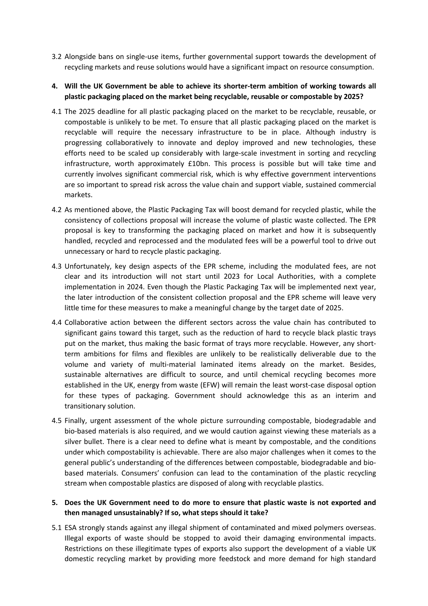- 3.2 Alongside bans on single-use items, further governmental support towards the development of recycling markets and reuse solutions would have a significant impact on resource consumption.
- **4. Will the UK Government be able to achieve its shorter-term ambition of working towards all plastic packaging placed on the market being recyclable, reusable or compostable by 2025?**
- 4.1 The 2025 deadline for all plastic packaging placed on the market to be recyclable, reusable, or compostable is unlikely to be met. To ensure that all plastic packaging placed on the market is recyclable will require the necessary infrastructure to be in place. Although industry is progressing collaboratively to innovate and deploy improved and new technologies, these efforts need to be scaled up considerably with large-scale investment in sorting and recycling infrastructure, worth approximately £10bn. This process is possible but will take time and currently involves significant commercial risk, which is why effective government interventions are so important to spread risk across the value chain and support viable, sustained commercial markets.
- 4.2 As mentioned above, the Plastic Packaging Tax will boost demand for recycled plastic, while the consistency of collections proposal will increase the volume of plastic waste collected. The EPR proposal is key to transforming the packaging placed on market and how it is subsequently handled, recycled and reprocessed and the modulated fees will be a powerful tool to drive out unnecessary or hard to recycle plastic packaging.
- 4.3 Unfortunately, key design aspects of the EPR scheme, including the modulated fees, are not clear and its introduction will not start until 2023 for Local Authorities, with a complete implementation in 2024. Even though the Plastic Packaging Tax will be implemented next year, the later introduction of the consistent collection proposal and the EPR scheme will leave very little time for these measures to make a meaningful change by the target date of 2025.
- 4.4 Collaborative action between the different sectors across the value chain has contributed to significant gains toward this target, such as the reduction of hard to recycle black plastic trays put on the market, thus making the basic format of trays more recyclable. However, any shortterm ambitions for films and flexibles are unlikely to be realistically deliverable due to the volume and variety of multi-material laminated items already on the market. Besides, sustainable alternatives are difficult to source, and until chemical recycling becomes more established in the UK, energy from waste (EFW) will remain the least worst-case disposal option for these types of packaging. Government should acknowledge this as an interim and transitionary solution.
- 4.5 Finally, urgent assessment of the whole picture surrounding compostable, biodegradable and bio-based materials is also required, and we would caution against viewing these materials as a silver bullet. There is a clear need to define what is meant by compostable, and the conditions under which compostability is achievable. There are also major challenges when it comes to the general public's understanding of the differences between compostable, biodegradable and biobased materials. Consumers' confusion can lead to the contamination of the plastic recycling stream when compostable plastics are disposed of along with recyclable plastics.

### **5. Does the UK Government need to do more to ensure that plastic waste is not exported and then managed unsustainably? If so, what steps should it take?**

5.1 ESA strongly stands against any illegal shipment of contaminated and mixed polymers overseas. Illegal exports of waste should be stopped to avoid their damaging environmental impacts. Restrictions on these illegitimate types of exports also support the development of a viable UK domestic recycling market by providing more feedstock and more demand for high standard